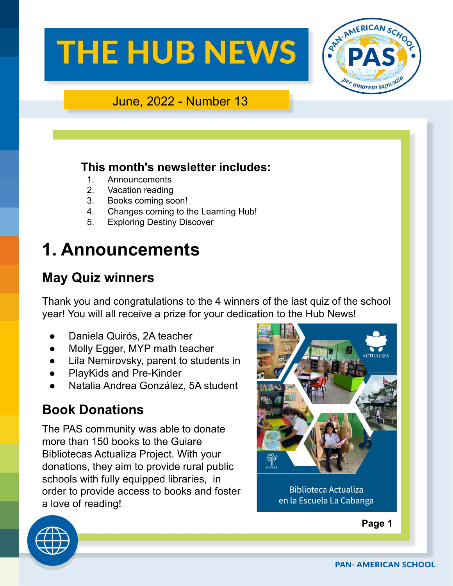

#### June, 2022 - Number 13

#### **This month's newsletter includes:**

- 1. Announcements
- 2. Vacation reading
- 3. Books coming soon!
- 4. Changes coming to the Learning Hub!
- 5. Exploring Destiny Discover

## **1. Announcements**

### **May Quiz winners**

Thank you and congratulations to the 4 winners of the last quiz of the school year! You will all receive a prize for your dedication to the Hub News!

- Daniela Quirós, 2A teacher
- Molly Egger, MYP math teacher
- Lila Nemirovsky, parent to students in
- PlayKids and Pre-Kinder
- Natalia Andrea González, 5A student

### **Book Donations**

The PAS community was able to donate more than 150 books to the Guiare Bibliotecas Actualiza Project. With your donations, they aim to provide rural public schools with fully equipped libraries, in order to provide access to books and foster a love of reading!



**Biblioteca Actualiza** en la Escuela La Cabanga





**PAN- AMERICAN SCHOOL**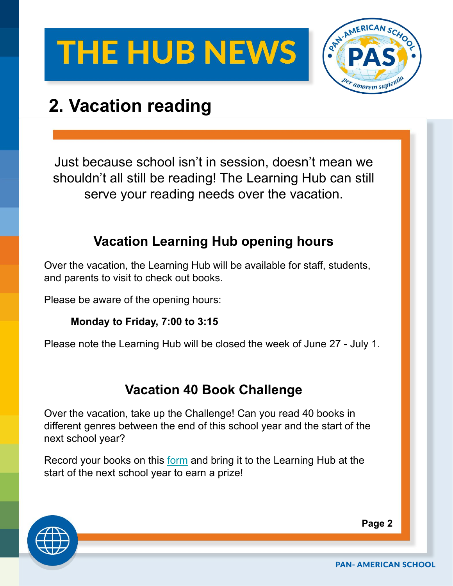

## **2. Vacation reading**

Just because school isn't in session, doesn't mean we shouldn't all still be reading! The Learning Hub can still serve your reading needs over the vacation.

### **Vacation Learning Hub opening hours**

Over the vacation, the Learning Hub will be available for staff, students, and parents to visit to check out books.

Please be aware of the opening hours:

#### **Monday to Friday, 7:00 to 3:15**

Please note the Learning Hub will be closed the week of June 27 - July 1.

### **Vacation 40 Book Challenge**

Over the vacation, take up the Challenge! Can you read 40 books in different genres between the end of this school year and the start of the next school year?

Record your books on this [form](https://drive.google.com/file/d/1Ac0eX5y91x-bhe7rT43FPZLOOUoQh4Wn/view?usp=sharing) and bring it to the Learning Hub at the start of the next school year to earn a prize!



**Page 2**

**PAN- AMERICAN SCHOOL**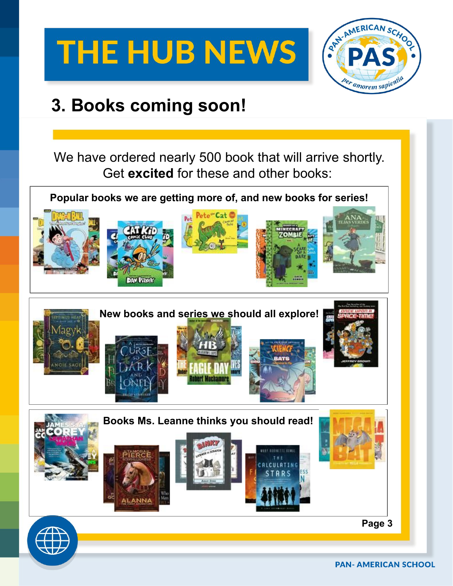

### **3. Books coming soon!**

We have ordered nearly 500 book that will arrive shortly. Get **excited** for these and other books:

**Popular books we are getting more of, and new books for series!**

























**Page 3**

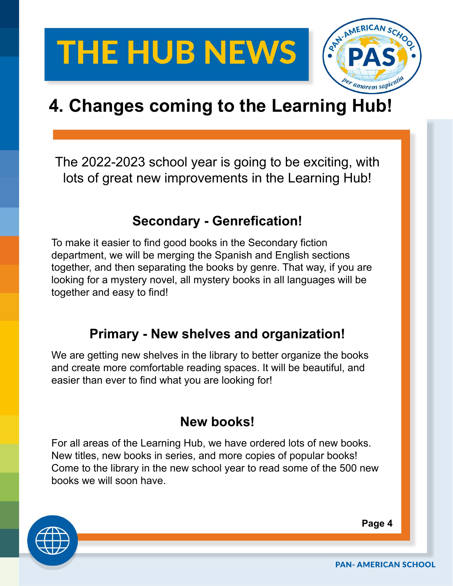

## **4. Changes coming to the Learning Hub!**

The 2022-2023 school year is going to be exciting, with lots of great new improvements in the Learning Hub!

### **Secondary - Genrefication!**

To make it easier to find good books in the Secondary fiction department, we will be merging the Spanish and English sections together, and then separating the books by genre. That way, if you are looking for a mystery novel, all mystery books in all languages will be together and easy to find!

### **Primary - New shelves and organization!**

We are getting new shelves in the library to better organize the books and create more comfortable reading spaces. It will be beautiful, and easier than ever to find what you are looking for!

### **New books!**

For all areas of the Learning Hub, we have ordered lots of new books. New titles, new books in series, and more copies of popular books! Come to the library in the new school year to read some of the 500 new books we will soon have.



**Page 4**